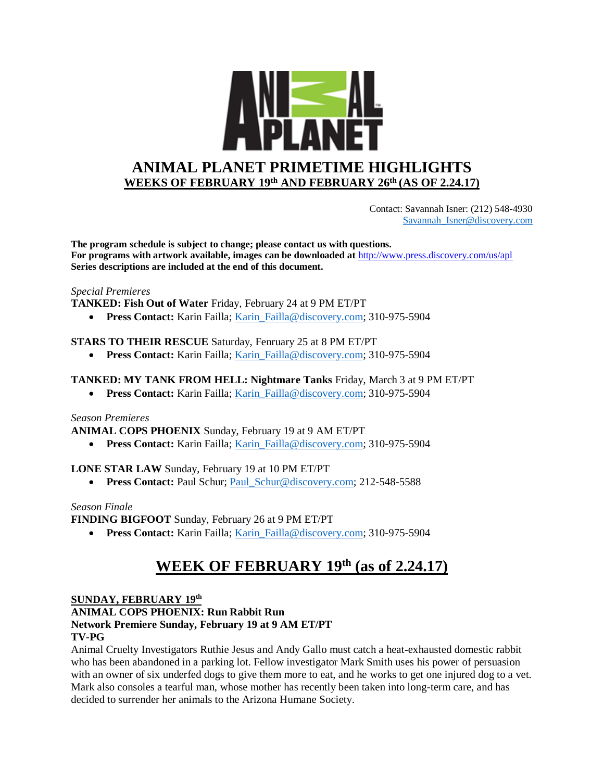

 Contact: Savannah Isner: (212) 548-4930 [Savannah\\_Isner@discovery.com](mailto:Savannah_Isner@discovery.com)

**The program schedule is subject to change; please contact us with questions. For programs with artwork available, images can be downloaded at** http://www.press.discovery.com/us/apl **Series descriptions are included at the end of this document.** 

### *Special Premieres*

**TANKED: Fish Out of Water** Friday, February 24 at 9 PM ET/PT

• **Press Contact:** Karin Failla; Karin Failla@discovery.com; 310-975-5904

### **STARS TO THEIR RESCUE** Saturday, Fenruary 25 at 8 PM ET/PT

• **Press Contact:** Karin Failla; Karin Failla@discovery.com; 310-975-5904

### **TANKED: MY TANK FROM HELL: Nightmare Tanks** Friday, March 3 at 9 PM ET/PT

• **Press Contact:** Karin Failla; Karin Failla@discovery.com; 310-975-5904

### *Season Premieres*

**ANIMAL COPS PHOENIX** Sunday, February 19 at 9 AM ET/PT

• **Press Contact:** Karin Failla; [Karin\\_Failla@discovery.com;](mailto:Karin_Failla@discovery.com) 310-975-5904

### **LONE STAR LAW** Sunday, February 19 at 10 PM ET/PT

• **Press Contact: Paul Schur**; **Paul\_Schur@discovery.com; 212-548-5588** 

### *Season Finale*

**FINDING BIGFOOT** Sunday, February 26 at 9 PM ET/PT

• **Press Contact:** Karin Failla; Karin Failla@discovery.com; 310-975-5904

# **WEEK OF FEBRUARY 19th (as of 2.24.17)**

**SUNDAY, FEBRUARY 19th**

**ANIMAL COPS PHOENIX: Run Rabbit Run**

# **Network Premiere Sunday, February 19 at 9 AM ET/PT**

### **TV-PG**

Animal Cruelty Investigators Ruthie Jesus and Andy Gallo must catch a heat-exhausted domestic rabbit who has been abandoned in a parking lot. Fellow investigator Mark Smith uses his power of persuasion with an owner of six underfed dogs to give them more to eat, and he works to get one injured dog to a vet. Mark also consoles a tearful man, whose mother has recently been taken into long-term care, and has decided to surrender her animals to the Arizona Humane Society.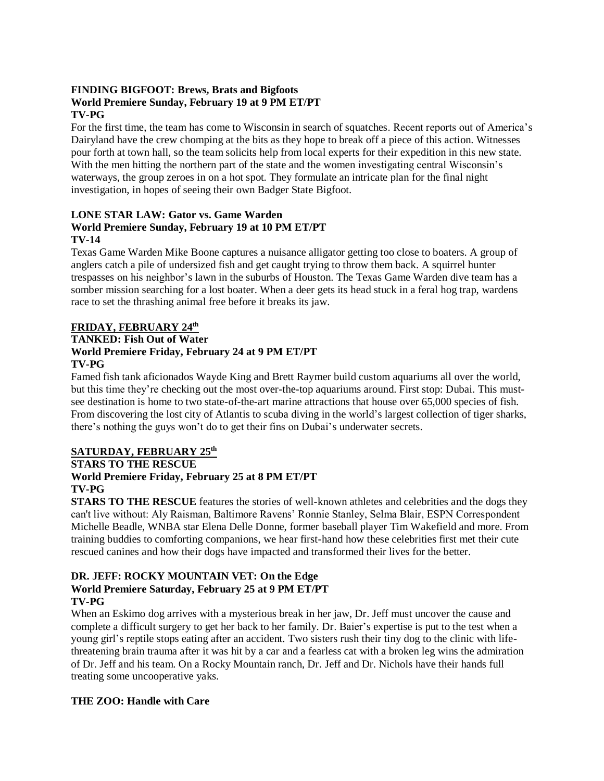## **FINDING BIGFOOT: Brews, Brats and Bigfoots World Premiere Sunday, February 19 at 9 PM ET/PT TV-PG**

For the first time, the team has come to Wisconsin in search of squatches. Recent reports out of America's Dairyland have the crew chomping at the bits as they hope to break off a piece of this action. Witnesses pour forth at town hall, so the team solicits help from local experts for their expedition in this new state. With the men hitting the northern part of the state and the women investigating central Wisconsin's waterways, the group zeroes in on a hot spot. They formulate an intricate plan for the final night investigation, in hopes of seeing their own Badger State Bigfoot.

## **LONE STAR LAW: Gator vs. Game Warden World Premiere Sunday, February 19 at 10 PM ET/PT TV-14**

Texas Game Warden Mike Boone captures a nuisance alligator getting too close to boaters. A group of anglers catch a pile of undersized fish and get caught trying to throw them back. A squirrel hunter trespasses on his neighbor's lawn in the suburbs of Houston. The Texas Game Warden dive team has a somber mission searching for a lost boater. When a deer gets its head stuck in a feral hog trap, wardens race to set the thrashing animal free before it breaks its jaw.

## **FRIDAY, FEBRUARY 24th**

#### **TANKED: Fish Out of Water World Premiere Friday, February 24 at 9 PM ET/PT**

## **TV-PG**

Famed fish tank aficionados Wayde King and Brett Raymer build custom aquariums all over the world, but this time they're checking out the most over-the-top aquariums around. First stop: Dubai. This mustsee destination is home to two state-of-the-art marine attractions that house over 65,000 species of fish. From discovering the lost city of Atlantis to scuba diving in the world's largest collection of tiger sharks, there's nothing the guys won't do to get their fins on Dubai's underwater secrets.

## **SATURDAY, FEBRUARY 25th**

## **STARS TO THE RESCUE**

## **World Premiere Friday, February 25 at 8 PM ET/PT**

## **TV-PG**

**STARS TO THE RESCUE** features the stories of well-known athletes and celebrities and the dogs they can't live without: Aly Raisman, Baltimore Ravens' Ronnie Stanley, Selma Blair, ESPN Correspondent Michelle Beadle, WNBA star Elena Delle Donne, former baseball player Tim Wakefield and more. From training buddies to comforting companions, we hear first-hand how these celebrities first met their cute rescued canines and how their dogs have impacted and transformed their lives for the better.

## **DR. JEFF: ROCKY MOUNTAIN VET: On the Edge World Premiere Saturday, February 25 at 9 PM ET/PT TV-PG**

When an Eskimo dog arrives with a mysterious break in her jaw, Dr. Jeff must uncover the cause and complete a difficult surgery to get her back to her family. Dr. Baier's expertise is put to the test when a young girl's reptile stops eating after an accident. Two sisters rush their tiny dog to the clinic with lifethreatening brain trauma after it was hit by a car and a fearless cat with a broken leg wins the admiration of Dr. Jeff and his team. On a Rocky Mountain ranch, Dr. Jeff and Dr. Nichols have their hands full treating some uncooperative yaks.

## **THE ZOO: Handle with Care**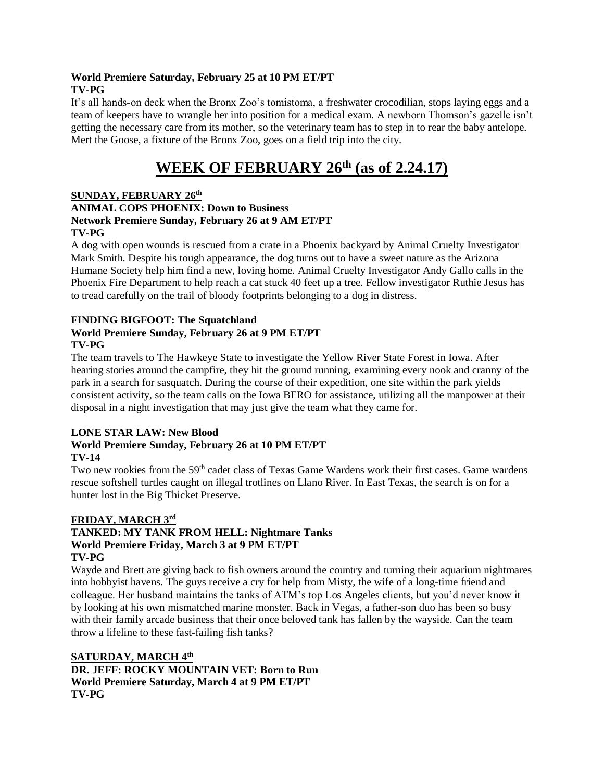### **World Premiere Saturday, February 25 at 10 PM ET/PT TV-PG**

It's all hands-on deck when the Bronx Zoo's tomistoma, a freshwater crocodilian, stops laying eggs and a team of keepers have to wrangle her into position for a medical exam. A newborn Thomson's gazelle isn't getting the necessary care from its mother, so the veterinary team has to step in to rear the baby antelope. Mert the Goose, a fixture of the Bronx Zoo, goes on a field trip into the city.

# **WEEK OF FEBRUARY 26th (as of 2.24.17)**

## **SUNDAY, FEBRUARY 26th ANIMAL COPS PHOENIX: Down to Business Network Premiere Sunday, February 26 at 9 AM ET/PT TV-PG**

A dog with open wounds is rescued from a crate in a Phoenix backyard by Animal Cruelty Investigator Mark Smith. Despite his tough appearance, the dog turns out to have a sweet nature as the Arizona Humane Society help him find a new, loving home. Animal Cruelty Investigator Andy Gallo calls in the Phoenix Fire Department to help reach a cat stuck 40 feet up a tree. Fellow investigator Ruthie Jesus has to tread carefully on the trail of bloody footprints belonging to a dog in distress.

#### **FINDING BIGFOOT: The Squatchland World Premiere Sunday, February 26 at 9 PM ET/PT TV-PG**

The team travels to The Hawkeye State to investigate the Yellow River State Forest in Iowa. After hearing stories around the campfire, they hit the ground running, examining every nook and cranny of the park in a search for sasquatch. During the course of their expedition, one site within the park yields consistent activity, so the team calls on the Iowa BFRO for assistance, utilizing all the manpower at their disposal in a night investigation that may just give the team what they came for.

## **LONE STAR LAW: New Blood**

#### **World Premiere Sunday, February 26 at 10 PM ET/PT TV-14**

Two new rookies from the 59<sup>th</sup> cadet class of Texas Game Wardens work their first cases. Game wardens rescue softshell turtles caught on illegal trotlines on Llano River. In East Texas, the search is on for a hunter lost in the Big Thicket Preserve.

#### **FRIDAY, MARCH 3rd TANKED: MY TANK FROM HELL: Nightmare Tanks World Premiere Friday, March 3 at 9 PM ET/PT TV-PG**

Wayde and Brett are giving back to fish owners around the country and turning their aquarium nightmares into hobbyist havens. The guys receive a cry for help from Misty, the wife of a long-time friend and colleague. Her husband maintains the tanks of ATM's top Los Angeles clients, but you'd never know it by looking at his own mismatched marine monster. Back in Vegas, a father-son duo has been so busy with their family arcade business that their once beloved tank has fallen by the wayside. Can the team throw a lifeline to these fast-failing fish tanks?

**SATURDAY, MARCH 4th DR. JEFF: ROCKY MOUNTAIN VET: Born to Run World Premiere Saturday, March 4 at 9 PM ET/PT TV-PG**